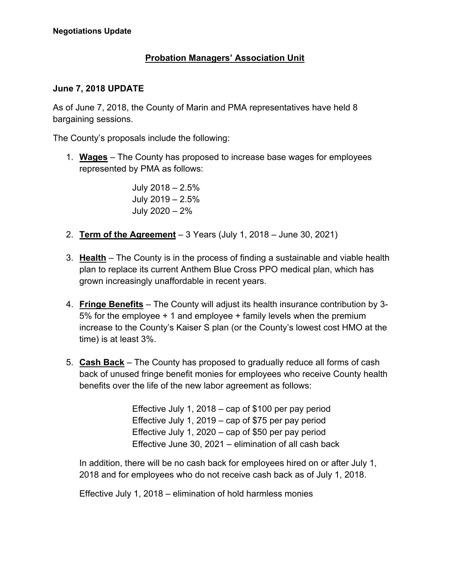## **Probation Managers' Association Unit**

## **June 7, 2018 UPDATE**

As of June 7, 2018, the County of Marin and PMA representatives have held 8 bargaining sessions.

The County's proposals include the following:

1. **Wages** – The County has proposed to increase base wages for employees represented by PMA as follows:

> July 2018 – 2.5% July 2019 – 2.5% July 2020 – 2%

- 2. **Term of the Agreement** 3 Years (July 1, 2018 June 30, 2021)
- 3. **Health** The County is in the process of finding a sustainable and viable health plan to replace its current Anthem Blue Cross PPO medical plan, which has grown increasingly unaffordable in recent years.
- 4. **Fringe Benefits** The County will adjust its health insurance contribution by 3- 5% for the employee + 1 and employee + family levels when the premium increase to the County's Kaiser S plan (or the County's lowest cost HMO at the time) is at least 3%.
- 5. **Cash Back** The County has proposed to gradually reduce all forms of cash back of unused fringe benefit monies for employees who receive County health benefits over the life of the new labor agreement as follows:

Effective July 1, 2018 – cap of \$100 per pay period Effective July 1, 2019 – cap of \$75 per pay period Effective July 1, 2020 – cap of \$50 per pay period Effective June 30, 2021 – elimination of all cash back

In addition, there will be no cash back for employees hired on or after July 1, 2018 and for employees who do not receive cash back as of July 1, 2018.

Effective July 1, 2018 – elimination of hold harmless monies